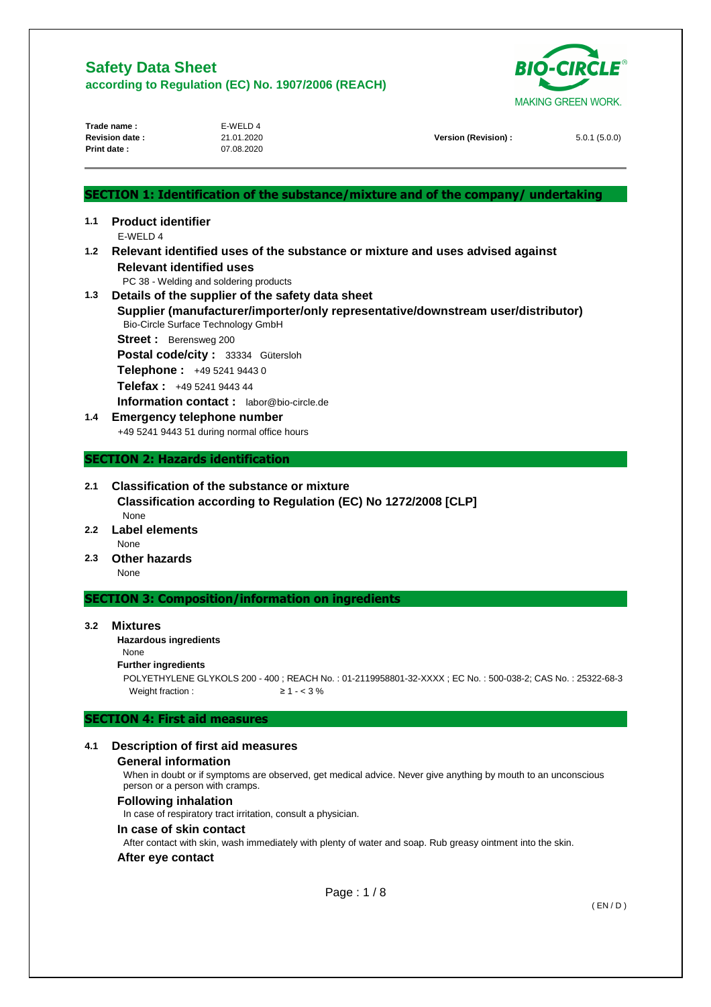

|                              | Trade name:                          | E-WELD 4                                                                                   |                                                                                    | אחטיש אוםבוא איטראי |  |
|------------------------------|--------------------------------------|--------------------------------------------------------------------------------------------|------------------------------------------------------------------------------------|---------------------|--|
|                              | <b>Revision date:</b><br>Print date: | 21.01.2020<br>07.08.2020                                                                   | Version (Revision) :                                                               | 5.0.1(5.0.0)        |  |
|                              |                                      |                                                                                            |                                                                                    |                     |  |
|                              |                                      |                                                                                            |                                                                                    |                     |  |
|                              |                                      |                                                                                            | SECTION 1: Identification of the substance/mixture and of the company/ undertaking |                     |  |
| 1.1                          | <b>Product identifier</b><br>F-WFID4 |                                                                                            |                                                                                    |                     |  |
| 1.2                          |                                      |                                                                                            | Relevant identified uses of the substance or mixture and uses advised against      |                     |  |
|                              |                                      | <b>Relevant identified uses</b>                                                            |                                                                                    |                     |  |
| 1.3                          |                                      | PC 38 - Welding and soldering products<br>Details of the supplier of the safety data sheet |                                                                                    |                     |  |
|                              |                                      | Bio-Circle Surface Technology GmbH                                                         | Supplier (manufacturer/importer/only representative/downstream user/distributor)   |                     |  |
|                              | Street: Berensweg 200                |                                                                                            |                                                                                    |                     |  |
|                              | Postal code/city: 33334 Gütersloh    |                                                                                            |                                                                                    |                     |  |
|                              |                                      | Telephone: +49 5241 9443 0                                                                 |                                                                                    |                     |  |
|                              |                                      | Telefax: +49 5241 9443 44                                                                  |                                                                                    |                     |  |
|                              |                                      | Information contact: labor@bio-circle.de                                                   |                                                                                    |                     |  |
| 1.4                          |                                      | <b>Emergency telephone number</b>                                                          |                                                                                    |                     |  |
|                              |                                      | +49 5241 9443 51 during normal office hours                                                |                                                                                    |                     |  |
|                              |                                      | <b>SECTION 2: Hazards identification</b>                                                   |                                                                                    |                     |  |
| 2.1                          |                                      | <b>Classification of the substance or mixture</b>                                          |                                                                                    |                     |  |
|                              | None                                 | Classification according to Regulation (EC) No 1272/2008 [CLP]                             |                                                                                    |                     |  |
| <b>Label elements</b><br>2.2 |                                      |                                                                                            |                                                                                    |                     |  |
|                              | <b>None</b>                          |                                                                                            |                                                                                    |                     |  |
| Other hazards<br>2.3<br>None |                                      |                                                                                            |                                                                                    |                     |  |
|                              |                                      | <b>SECTION 3: Composition/information on ingredients</b>                                   |                                                                                    |                     |  |

### **3.2 Mixtures**

#### **Hazardous ingredients**

#### None

# **Further ingredients**

POLYETHYLENE GLYKOLS 200 - 400 ; REACH No. : 01-2119958801-32-XXXX ; EC No. : 500-038-2; CAS No. : 25322-68-3 Weight fraction :  $\geq 1 - 3\%$ 

## **SECTION 4: First aid measures**

### **4.1 Description of first aid measures**

#### **General information**

When in doubt or if symptoms are observed, get medical advice. Never give anything by mouth to an unconscious person or a person with cramps.

#### **Following inhalation**

In case of respiratory tract irritation, consult a physician.

### **In case of skin contact**

After contact with skin, wash immediately with plenty of water and soap. Rub greasy ointment into the skin.

#### **After eye contact**

Page : 1 / 8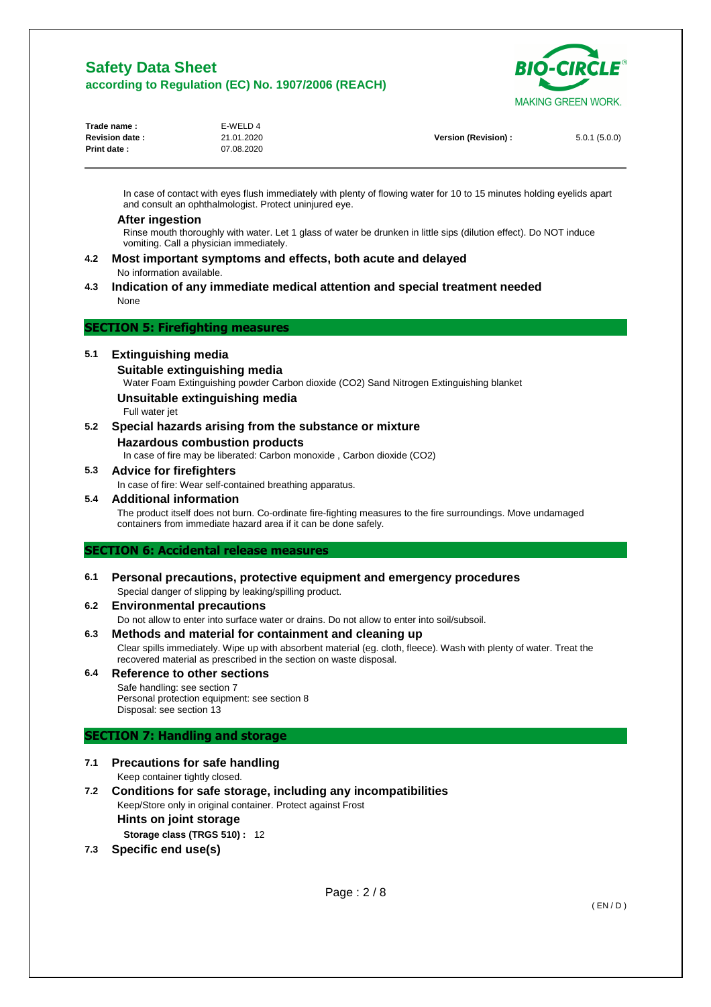

| Trade name:           | E-WELD 4   |                     |              |
|-----------------------|------------|---------------------|--------------|
| <b>Revision date:</b> | 21.01.2020 | Version (Revision): | 5.0.1(5.0.0) |
| <b>Print date:</b>    | 07.08.2020 |                     |              |

In case of contact with eyes flush immediately with plenty of flowing water for 10 to 15 minutes holding eyelids apart and consult an ophthalmologist. Protect uninjured eye.

### **After ingestion**

Rinse mouth thoroughly with water. Let 1 glass of water be drunken in little sips (dilution effect). Do NOT induce vomiting. Call a physician immediately.

- **4.2 Most important symptoms and effects, both acute and delayed**  No information available.
- **4.3 Indication of any immediate medical attention and special treatment needed**  None

### **SECTION 5: Firefighting measures**

### **5.1 Extinguishing media**

### **Suitable extinguishing media**

Water Foam Extinguishing powder Carbon dioxide (CO2) Sand Nitrogen Extinguishing blanket

### **Unsuitable extinguishing media**

Full water jet

**5.2 Special hazards arising from the substance or mixture Hazardous combustion products** 

In case of fire may be liberated: Carbon monoxide , Carbon dioxide (CO2)

# **5.3 Advice for firefighters**

In case of fire: Wear self-contained breathing apparatus.

### **5.4 Additional information**

The product itself does not burn. Co-ordinate fire-fighting measures to the fire surroundings. Move undamaged containers from immediate hazard area if it can be done safely.

### **SECTION 6: Accidental release measures**

**6.1 Personal precautions, protective equipment and emergency procedures**  Special danger of slipping by leaking/spilling product.

## **6.2 Environmental precautions**

Do not allow to enter into surface water or drains. Do not allow to enter into soil/subsoil.

**6.3 Methods and material for containment and cleaning up** 

Clear spills immediately. Wipe up with absorbent material (eg. cloth, fleece). Wash with plenty of water. Treat the recovered material as prescribed in the section on waste disposal.

**6.4 Reference to other sections**  Safe handling: see section 7 Personal protection equipment: see section 8 Disposal: see section 13

## **SECTION 7: Handling and storage**

- **7.1 Precautions for safe handling**  Keep container tightly closed.
- **7.2 Conditions for safe storage, including any incompatibilities**  Keep/Store only in original container. Protect against Frost **Hints on joint storage Storage class (TRGS 510) :** 12
- **7.3 Specific end use(s)**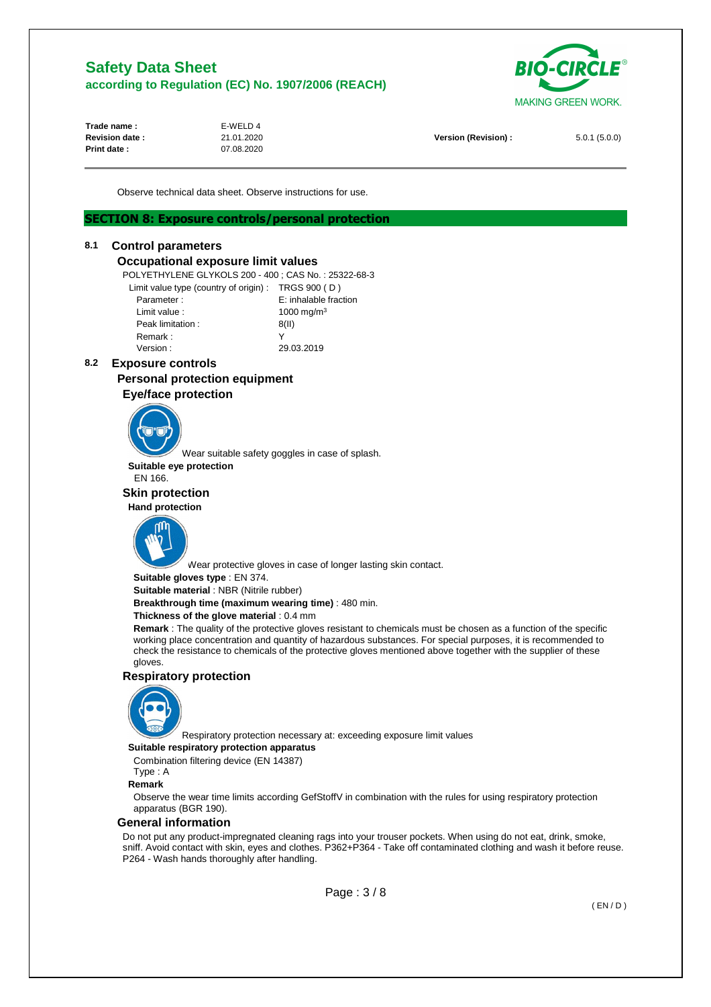

| Trade name:           | E-WELD 4   |                      |              |
|-----------------------|------------|----------------------|--------------|
| <b>Revision date:</b> | 21.01.2020 | Version (Revision) : | 5.0.1(5.0.0) |
| <b>Print date:</b>    | 07.08.2020 |                      |              |
|                       |            |                      |              |

Observe technical data sheet. Observe instructions for use.

## **SECTION 8: Exposure controls/personal protection**

### **8.1 Control parameters**

### **Occupational exposure limit values**

POLYETHYLENE GLYKOLS 200 - 400 ; CAS No. : 25322-68-3

| Limit value type (country of origin): TRGS 900 (D) |                        |
|----------------------------------------------------|------------------------|
| Parameter:                                         | E: inhalable fraction  |
| Limit value:                                       | 1000 mg/m <sup>3</sup> |
| Peak limitation:                                   | 8(II)                  |
| Remark:                                            | v                      |
| Version :                                          | 29.03.2019             |

## **8.2 Exposure controls**

# **Personal protection equipment**

# **Eye/face protection**



Wear suitable safety goggles in case of splash.

**Suitable eye protection** 

# EN 166.

 **Skin protection Hand protection** 



Wear protective gloves in case of longer lasting skin contact.

**Suitable gloves type** : EN 374.

**Suitable material** : NBR (Nitrile rubber)

**Breakthrough time (maximum wearing time)** : 480 min.

#### **Thickness of the glove material** : 0.4 mm

**Remark** : The quality of the protective gloves resistant to chemicals must be chosen as a function of the specific working place concentration and quantity of hazardous substances. For special purposes, it is recommended to check the resistance to chemicals of the protective gloves mentioned above together with the supplier of these gloves.

## **Respiratory protection**



Respiratory protection necessary at: exceeding exposure limit values

### **Suitable respiratory protection apparatus**

Combination filtering device (EN 14387) Type : A

# **Remark**

Observe the wear time limits according GefStoffV in combination with the rules for using respiratory protection apparatus (BGR 190).

#### **General information**

Do not put any product-impregnated cleaning rags into your trouser pockets. When using do not eat, drink, smoke, sniff. Avoid contact with skin, eyes and clothes. P362+P364 - Take off contaminated clothing and wash it before reuse. P264 - Wash hands thoroughly after handling.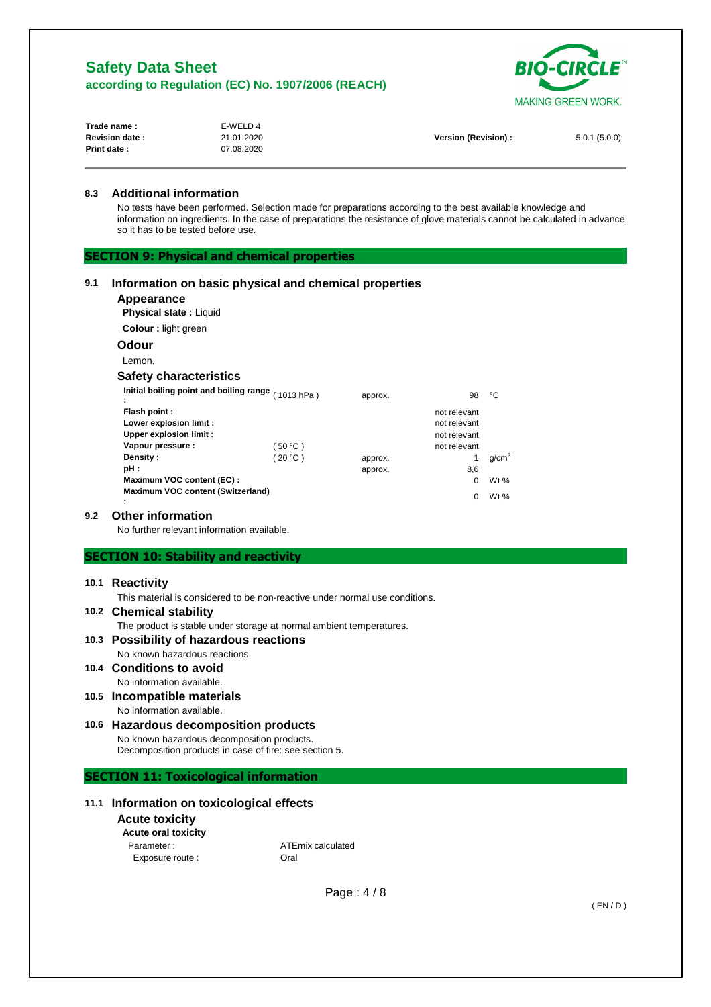

| Trade name :          | E-WELD 4   |                      |              |
|-----------------------|------------|----------------------|--------------|
| <b>Revision date:</b> | 21.01.2020 | Version (Revision) : | 5.0.1(5.0.0) |
| Print date:           | 07.08.2020 |                      |              |

### **8.3 Additional information**

No tests have been performed. Selection made for preparations according to the best available knowledge and information on ingredients. In the case of preparations the resistance of glove materials cannot be calculated in advance so it has to be tested before use.

**SECTION 9: Physical and chemical properties** 

## **9.1 Information on basic physical and chemical properties**

# **Appearance**

**Physical state :** Liquid

#### **Colour :** light green

 **Odour** 

Lemon.

# **Safety characteristics**

| Initial boiling point and boiling range $(1013 hPa)$ |          |         |              | ۰c                |
|------------------------------------------------------|----------|---------|--------------|-------------------|
|                                                      |          | approx. | 98           |                   |
| <b>Flash point:</b>                                  |          |         | not relevant |                   |
| Lower explosion limit :                              |          |         | not relevant |                   |
| <b>Upper explosion limit:</b>                        |          |         | not relevant |                   |
| Vapour pressure :                                    | (50 °C ) |         | not relevant |                   |
| <b>Density :</b>                                     | (20 °C)  | approx. |              | q/cm <sup>3</sup> |
| pH :                                                 |          | approx. | 8,6          |                   |
| Maximum VOC content (EC):                            |          |         | 0            | Wt $%$            |
| Maximum VOC content (Switzerland)                    |          |         |              |                   |
|                                                      |          |         | 0            | Wt $%$            |

### **9.2 Other information**

No further relevant information available.

### **SECTION 10: Stability and reactivity**

#### **10.1 Reactivity**

This material is considered to be non-reactive under normal use conditions.

#### **10.2 Chemical stability**

The product is stable under storage at normal ambient temperatures.

### **10.3 Possibility of hazardous reactions**  No known hazardous reactions.

**10.4 Conditions to avoid** 

# No information available.

## **10.5 Incompatible materials**  No information available.

# **10.6 Hazardous decomposition products**

No known hazardous decomposition products. Decomposition products in case of fire: see section 5.

# **SECTION 11: Toxicological information**

# **11.1 Information on toxicological effects**

### **Acute toxicity**

| <b>Acute oral toxicity</b> |  |
|----------------------------|--|
| Parameter ·                |  |

Parameter : <br>
ATEmix calculated Exposure route : Call Coral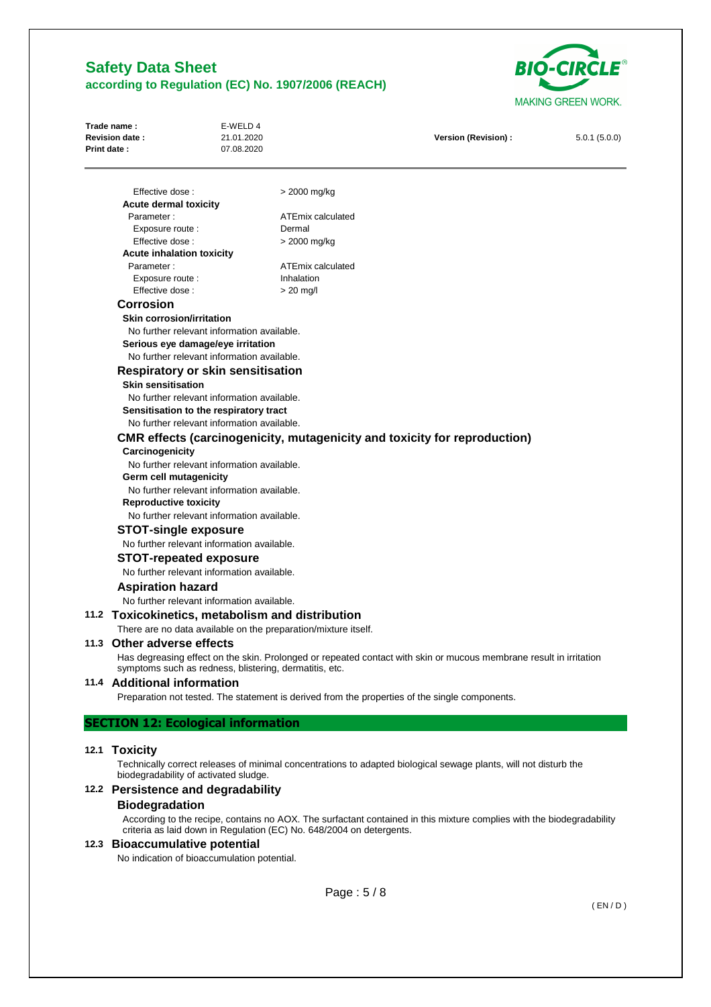

| Trade name:<br>Revision date:<br>Print date:                              | E-WELD 4<br>21.01.2020<br>07.08.2020                                                                                           |                                                                | Version (Revision) :                                                                                               | 5.0.1(5.0.0) |  |  |
|---------------------------------------------------------------------------|--------------------------------------------------------------------------------------------------------------------------------|----------------------------------------------------------------|--------------------------------------------------------------------------------------------------------------------|--------------|--|--|
| Effective dose:                                                           |                                                                                                                                | > 2000 mg/kg                                                   |                                                                                                                    |              |  |  |
| <b>Acute dermal toxicity</b>                                              |                                                                                                                                |                                                                |                                                                                                                    |              |  |  |
| Parameter:                                                                |                                                                                                                                | ATEmix calculated                                              |                                                                                                                    |              |  |  |
| Exposure route :                                                          |                                                                                                                                | Dermal                                                         |                                                                                                                    |              |  |  |
| Effective dose:<br><b>Acute inhalation toxicity</b>                       |                                                                                                                                | > 2000 mg/kg                                                   |                                                                                                                    |              |  |  |
| Parameter:                                                                |                                                                                                                                | ATEmix calculated                                              |                                                                                                                    |              |  |  |
| Exposure route :                                                          |                                                                                                                                | Inhalation                                                     |                                                                                                                    |              |  |  |
| Effective dose:                                                           |                                                                                                                                | $>$ 20 mg/l                                                    |                                                                                                                    |              |  |  |
| <b>Corrosion</b>                                                          |                                                                                                                                |                                                                |                                                                                                                    |              |  |  |
| <b>Skin corrosion/irritation</b>                                          |                                                                                                                                |                                                                |                                                                                                                    |              |  |  |
|                                                                           | No further relevant information available.                                                                                     |                                                                |                                                                                                                    |              |  |  |
|                                                                           | Serious eye damage/eye irritation                                                                                              |                                                                |                                                                                                                    |              |  |  |
|                                                                           | No further relevant information available.                                                                                     |                                                                |                                                                                                                    |              |  |  |
|                                                                           |                                                                                                                                |                                                                |                                                                                                                    |              |  |  |
|                                                                           | <b>Respiratory or skin sensitisation</b>                                                                                       |                                                                |                                                                                                                    |              |  |  |
|                                                                           | <b>Skin sensitisation</b><br>No further relevant information available.                                                        |                                                                |                                                                                                                    |              |  |  |
|                                                                           |                                                                                                                                |                                                                |                                                                                                                    |              |  |  |
|                                                                           | Sensitisation to the respiratory tract                                                                                         |                                                                |                                                                                                                    |              |  |  |
|                                                                           | No further relevant information available.<br><b>CMR</b> effects (carcinogenicity, mutagenicity and toxicity for reproduction) |                                                                |                                                                                                                    |              |  |  |
| Carcinogenicity<br>Germ cell mutagenicity<br><b>Reproductive toxicity</b> | No further relevant information available.<br>No further relevant information available.                                       |                                                                |                                                                                                                    |              |  |  |
|                                                                           | No further relevant information available.                                                                                     |                                                                |                                                                                                                    |              |  |  |
|                                                                           | <b>STOT-single exposure</b>                                                                                                    |                                                                |                                                                                                                    |              |  |  |
|                                                                           | No further relevant information available.                                                                                     |                                                                |                                                                                                                    |              |  |  |
|                                                                           | <b>STOT-repeated exposure</b>                                                                                                  |                                                                |                                                                                                                    |              |  |  |
|                                                                           | No further relevant information available.                                                                                     |                                                                |                                                                                                                    |              |  |  |
| <b>Aspiration hazard</b>                                                  |                                                                                                                                |                                                                |                                                                                                                    |              |  |  |
|                                                                           | No further relevant information available.                                                                                     |                                                                |                                                                                                                    |              |  |  |
| 11.2 Toxicokinetics, metabolism and distribution                          |                                                                                                                                |                                                                |                                                                                                                    |              |  |  |
|                                                                           |                                                                                                                                | There are no data available on the preparation/mixture itself. |                                                                                                                    |              |  |  |
| 11.3 Other adverse effects                                                |                                                                                                                                |                                                                |                                                                                                                    |              |  |  |
|                                                                           | symptoms such as redness, blistering, dermatitis, etc.                                                                         |                                                                | Has degreasing effect on the skin. Prolonged or repeated contact with skin or mucous membrane result in irritation |              |  |  |
| 11.4 Additional information                                               |                                                                                                                                |                                                                |                                                                                                                    |              |  |  |
|                                                                           |                                                                                                                                |                                                                | Preparation not tested. The statement is derived from the properties of the single components.                     |              |  |  |
| <b>SECTION 12: Ecological information</b>                                 |                                                                                                                                |                                                                |                                                                                                                    |              |  |  |
| 12.1 Toxicity                                                             |                                                                                                                                |                                                                |                                                                                                                    |              |  |  |
|                                                                           | biodegradability of activated sludge.                                                                                          |                                                                | Technically correct releases of minimal concentrations to adapted biological sewage plants, will not disturb the   |              |  |  |

# **12.2 Persistence and degradability**

## **Biodegradation**

According to the recipe, contains no AOX. The surfactant contained in this mixture complies with the biodegradability criteria as laid down in Regulation (EC) No. 648/2004 on detergents.

# **12.3 Bioaccumulative potential**

No indication of bioaccumulation potential.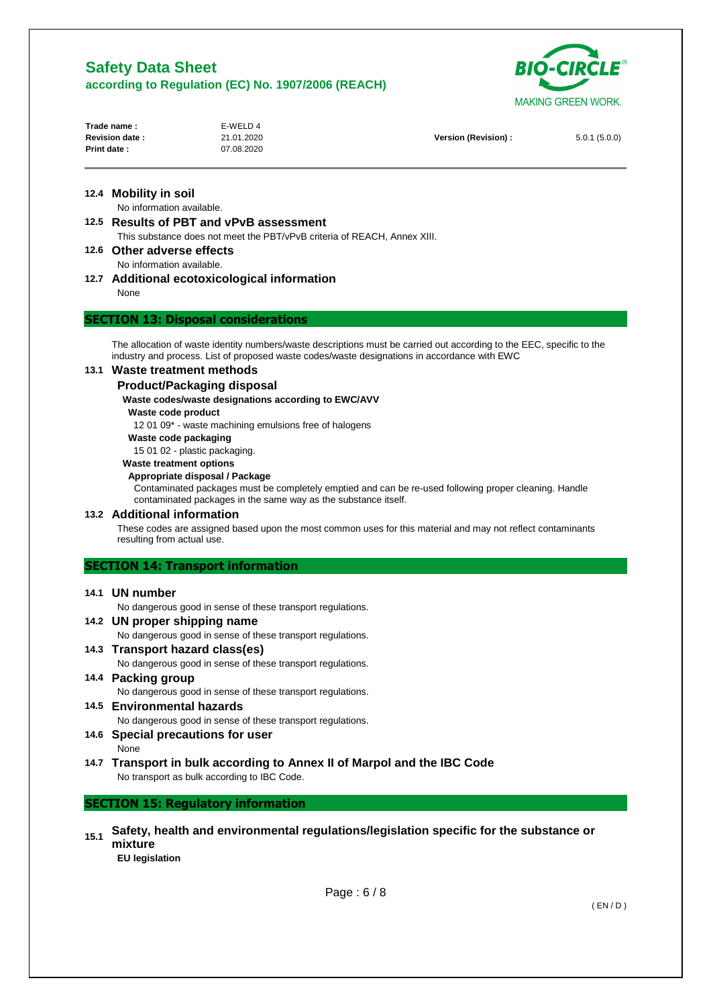

| Trade name:           | E-WELD 4   |                      |              |
|-----------------------|------------|----------------------|--------------|
| <b>Revision date:</b> | 21.01.2020 | Version (Revision) : | 5.0.1(5.0.0) |
| Print date:           | 07.08.2020 |                      |              |
|                       |            |                      |              |

## **12.4 Mobility in soil**  No information available.

# **12.5 Results of PBT and vPvB assessment**

This substance does not meet the PBT/vPvB criteria of REACH, Annex XIII.

**12.6 Other adverse effects** 

- No information available.
- **12.7 Additional ecotoxicological information**  None

# **SECTION 13: Disposal considerations**

The allocation of waste identity numbers/waste descriptions must be carried out according to the EEC, specific to the industry and process. List of proposed waste codes/waste designations in accordance with EWC

## **13.1 Waste treatment methods**

### **Product/Packaging disposal**

### **Waste codes/waste designations according to EWC/AVV**

**Waste code product** 

12 01 09\* - waste machining emulsions free of halogens

**Waste code packaging** 

15 01 02 - plastic packaging.

### **Waste treatment options**

### **Appropriate disposal / Package**

Contaminated packages must be completely emptied and can be re-used following proper cleaning. Handle contaminated packages in the same way as the substance itself.

## **13.2 Additional information**

These codes are assigned based upon the most common uses for this material and may not reflect contaminants resulting from actual use.

## **SECTION 14: Transport information**

### **14.1 UN number**

No dangerous good in sense of these transport regulations.

# **14.2 UN proper shipping name**

No dangerous good in sense of these transport regulations.

- **14.3 Transport hazard class(es)**  No dangerous good in sense of these transport regulations.
- **14.4 Packing group**  No dangerous good in sense of these transport regulations.
- **14.5 Environmental hazards**  No dangerous good in sense of these transport regulations.

# **14.6 Special precautions for user**

None

**14.7 Transport in bulk according to Annex II of Marpol and the IBC Code**  No transport as bulk according to IBC Code.

# **SECTION 15: Regulatory information**

**15.1 Safety, health and environmental regulations/legislation specific for the substance or mixture** 

**EU legislation**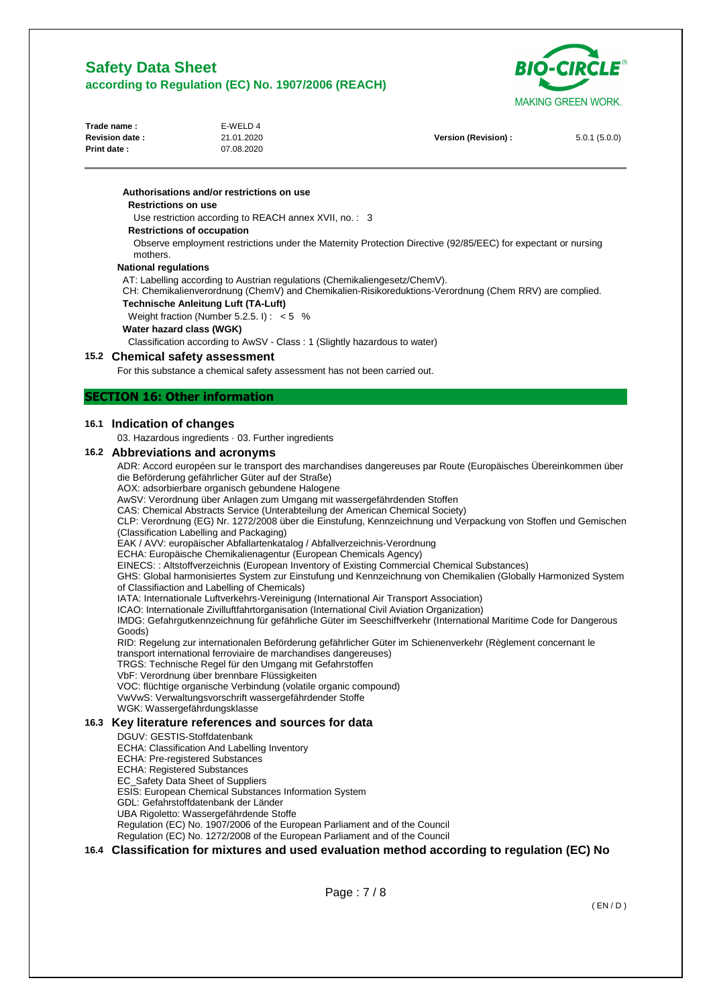**Authorisations and/or restrictions on use** 

**Restrictions on use** 



| Trade name :          | E-WELD 4   |                      |              |
|-----------------------|------------|----------------------|--------------|
| <b>Revision date:</b> | 21.01.2020 | Version (Revision) : | 5.0.1(5.0.0) |
| <b>Print date:</b>    | 07.08.2020 |                      |              |
|                       |            |                      |              |

Page : 7 / 8 Use restriction according to REACH annex XVII, no. : 3 **Restrictions of occupation**  Observe employment restrictions under the Maternity Protection Directive (92/85/EEC) for expectant or nursing mothers. **National regulations**  AT: Labelling according to Austrian regulations (Chemikaliengesetz/ChemV). CH: Chemikalienverordnung (ChemV) and Chemikalien-Risikoreduktions-Verordnung (Chem RRV) are complied. **Technische Anleitung Luft (TA-Luft)**  Weight fraction (Number 5.2.5. I) : < 5 % **Water hazard class (WGK)**  Classification according to AwSV - Class : 1 (Slightly hazardous to water) **15.2 Chemical safety assessment**  For this substance a chemical safety assessment has not been carried out. **SECTION 16: Other information 16.1 Indication of changes**  03. Hazardous ingredients · 03. Further ingredients **16.2 Abbreviations and acronyms**  ADR: Accord européen sur le transport des marchandises dangereuses par Route (Europäisches Übereinkommen über die Beförderung gefährlicher Güter auf der Straße) AOX: adsorbierbare organisch gebundene Halogene AwSV: Verordnung über Anlagen zum Umgang mit wassergefährdenden Stoffen CAS: Chemical Abstracts Service (Unterabteilung der American Chemical Society) CLP: Verordnung (EG) Nr. 1272/2008 über die Einstufung, Kennzeichnung und Verpackung von Stoffen und Gemischen (Classification Labelling and Packaging) EAK / AVV: europäischer Abfallartenkatalog / Abfallverzeichnis-Verordnung ECHA: Europäische Chemikalienagentur (European Chemicals Agency) EINECS: : Altstoffverzeichnis (European Inventory of Existing Commercial Chemical Substances) GHS: Global harmonisiertes System zur Einstufung und Kennzeichnung von Chemikalien (Globally Harmonized System of Classifiaction and Labelling of Chemicals) IATA: Internationale Luftverkehrs-Vereinigung (International Air Transport Association) ICAO: Internationale Zivilluftfahrtorganisation (International Civil Aviation Organization) IMDG: Gefahrgutkennzeichnung für gefährliche Güter im Seeschiffverkehr (International Maritime Code for Dangerous Goods) RID: Regelung zur internationalen Beförderung gefährlicher Güter im Schienenverkehr (Règlement concernant le transport international ferroviaire de marchandises dangereuses) TRGS: Technische Regel für den Umgang mit Gefahrstoffen VbF: Verordnung über brennbare Flüssigkeiten VOC: flüchtige organische Verbindung (volatile organic compound) VwVwS: Verwaltungsvorschrift wassergefährdender Stoffe WGK: Wassergefährdungsklasse **16.3 Key literature references and sources for data**  DGUV: GESTIS-Stoffdatenbank ECHA: Classification And Labelling Inventory ECHA: Pre-registered Substances ECHA: Registered Substances EC\_Safety Data Sheet of Suppliers ESIS: European Chemical Substances Information System GDL: Gefahrstoffdatenbank der Länder UBA Rigoletto: Wassergefährdende Stoffe Regulation (EC) No. 1907/2006 of the European Parliament and of the Council Regulation (EC) No. 1272/2008 of the European Parliament and of the Council **16.4 Classification for mixtures and used evaluation method according to regulation (EC) No**